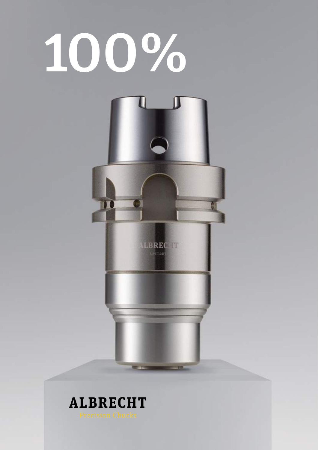

### **ALBRECHT**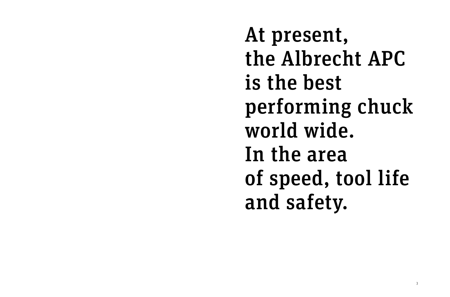At present, is the best world wide. In the area and safety.

# the Albrecht APC performing chuck of speed, tool life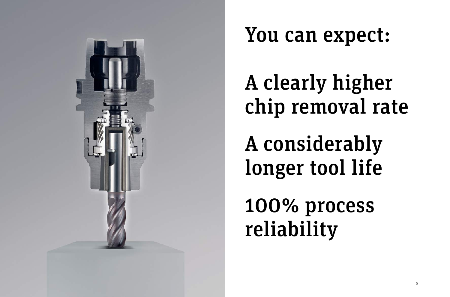

### You can expect:

# A clearly higher chip removal rate

A considerably longer tool life

100% process reliability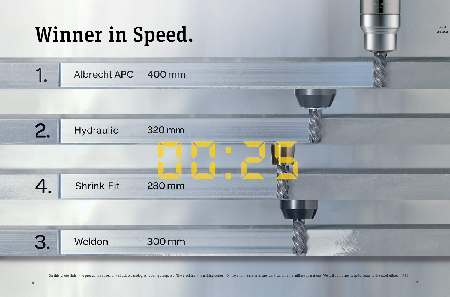

On this photo finish the production speed of 4 chuck technologies is being compared. The machine, the milling cutter D = 16 and the material are identical for all 4 milling operations. We call out to any sceptic: come to t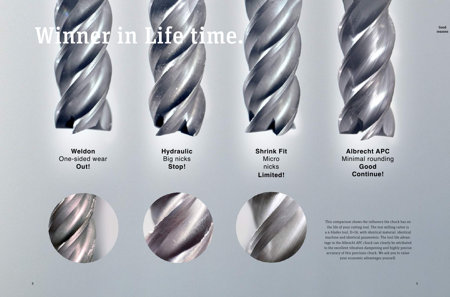# Winner in Life time.



**Weldon** One-sided wear **Out!**



**Hydraulic** Big nicks **Stop!**

**Shrink Fit** Micro nicks **Limited!**



### **Albrecht APC** Minimal rounding **Good Continue!**

This comparison shows the influence the chuck has on the life of your cutting tool. The test milling cutter is a 4-blades tool, D=16, with identical material, identical machine and identical parameters. The tool life advantage in the Albrecht APC chuck can clearly be attributed to the excellent vibration dampening and highly precise accuracy of this precision chuck. We ask you to value your economic advantages yourself.

Good reasons

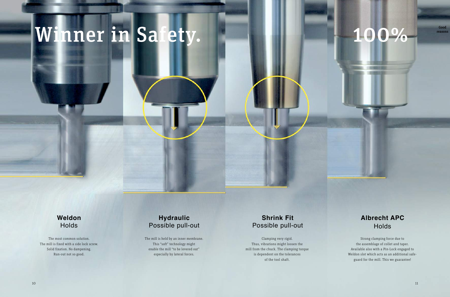### Winner in Safety.

### **Weldon** Holds

### **Hydraulic** Possible pull-out

The most common solution. The mill is fixed with a side lock screw. Solid fixation. No dampening. Run-out not so good.

The mill is held by an inner membrane. This "soft" technology might enable the mill "to be levered out" especially by lateral forces.

### **Shrink Fit** Possible pull-out

### **Albrecht APC** Holds

Clamping very rigid. Thus, vibrations might loosen the mill from the chuck. The clamping torque is dependent on the tolerances of the tool shaft.

### 100% Reason

Strong clamping force due to the assemblage of collet and taper. Available also with a Pin-Lock engaged to Weldon slot which acts as an additional safeguard for the mill. This we guarantee!

reasons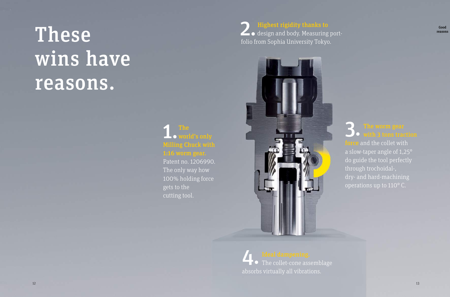### These wins have reasons.

### 1. The world's only Milling Chuck with 1:16 worm gear.

Patent no. 1206990. The only way how 100% holding force gets to the cutting tool.

> Ideal dampening.<br>
> The collet-cone assemblage **Ideal dampening.** absorbs virtually all vibrations.

2. Highest rigidity thanks to  $\blacktriangle$   $\bullet$  design and body. Measuring portfolio from Sophia University Tokyo.



 $\frac{1}{2}$  and the collet with a slow-taper angle of 1,25° do guide the tool perfectly through trochoidal-, dry- and hard-machining operations up to 110° C.

Good reasons

### **O** with 3 tons traction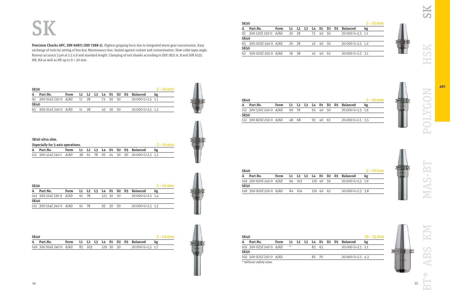### **SK**

Precision Chucks APC, DIN 69871 (ISO 7388-1). Highest gripping force due to integrated worm gear transmission. Easy exchange of tools by setting of hex-key. Maintenance free. Sealed against coolant and contamination. Slow collet taper angle. Runout accuracy 3 µm at 2.5 x D and standard length. Clamping of tool shanks according to DIN 1835 A, B and DIN 6535 HB, HA as well as HE up to  $D = 20$  mm.

|          |                     |                        |                                       |  |                      | $2 - 14$ mm                                                               |
|----------|---------------------|------------------------|---------------------------------------|--|----------------------|---------------------------------------------------------------------------|
| Part.No. | Form                |                        |                                       |  |                      | kg                                                                        |
|          |                     |                        |                                       |  |                      |                                                                           |
|          |                     |                        |                                       |  |                      |                                                                           |
|          |                     |                        |                                       |  |                      |                                                                           |
|          | SK30<br><b>SK40</b> | 63 300 014Z 240 0 A/AD | 92 300 014Z 230 0 A/AD 11 28<br>11 28 |  | 73 30 50<br>43 30 50 | L1 L2 L3 L4 D1 D2 D3 Balanced<br>$20.000$ G=2,5 1,1<br>$20.000$ G=2,5 1,2 |

| ۰<br>Ì<br>Ì<br>ř. | التواز<br>٢<br><b>September</b> |
|-------------------|---------------------------------|
|                   |                                 |
|                   | ï<br>ŧ<br>-<br>⊶<br>ÿ.          |

| SK30 |                         |      |       |  |  |  |           |  |                               | $2 - 14$ mm |
|------|-------------------------|------|-------|--|--|--|-----------|--|-------------------------------|-------------|
|      | Part.No.                | Form |       |  |  |  |           |  | L1 L2 L3 L4 D1 D2 D3 Balanced | kg          |
|      | 142 300 514Z 230 0 A/AD |      | 61 78 |  |  |  | 123 30 50 |  | $20.000$ G=2,5 1,4            |             |
| SK40 |                         |      |       |  |  |  |           |  |                               |             |
|      | 112 300 514Z 240 0 A/AD |      | 61 78 |  |  |  | 93 30 50  |  | $20.000$ G=2,5 1,3            |             |



| SK40 |                                |  |  |           |  |                                    | $2 - 14$ mm |
|------|--------------------------------|--|--|-----------|--|------------------------------------|-------------|
| A    | Part.No.                       |  |  |           |  | Form L1 L2 L3 L4 D1 D2 D3 Balanced | kg          |
|      | 149 300 914Z 240 0 A/AD 85 103 |  |  | 129 30 50 |  | $20.000$ G=2,5 1,7                 |             |



| <b>SK30</b> |      |                                                                            |                |               |    |    |      |                    | $2 - 20$ mm          |
|-------------|------|----------------------------------------------------------------------------|----------------|---------------|----|----|------|--------------------|----------------------|
| Part.No.    | Form | L1                                                                         | L <sub>2</sub> | L3            |    |    |      |                    | kg                   |
|             |      | 20                                                                         |                |               | 73 | 40 | -50  | $20.000$ G=2,5 1,1 |                      |
| <b>SK40</b> |      |                                                                            |                |               |    |    |      |                    |                      |
|             |      |                                                                            |                |               | 43 | 40 | - 50 | $20.000$ G=2,5 1,2 |                      |
| <b>SK50</b> |      |                                                                            |                |               |    |    |      |                    |                      |
|             |      | 18                                                                         | -38            |               | 43 | 40 | 63   | $20.000$ G=2,5 3,1 |                      |
|             |      | 92 300 120Z 230 0 A/AD<br>63 300 020Z 240 0 A/AD<br>62 300 020Z 250 0 A/AD |                | - 28<br>20 28 |    | L4 |      |                    | Balanced<br>D1 D2 D3 |

| $2 - 20$ mm |
|-------------|
|             |
|             |
|             |
|             |
|             |

| SK40 |                         |      |    |       |  |           |  |                               | $2 - 20$ mm |
|------|-------------------------|------|----|-------|--|-----------|--|-------------------------------|-------------|
|      | Part.No.                | Form |    |       |  |           |  | L1 L2 L3 L4 D1 D2 D3 Balanced | kg          |
|      | 149 300 920Z 240 0 A/AD |      | 94 | - 103 |  | 129 40 50 |  | $20.000$ G=2.5 1.9            |             |
| SK50 |                         |      |    |       |  |           |  |                               |             |
|      | 149 300 920Z 250 0 A/AD |      | 84 | - 104 |  | 129 40 63 |  | $20.000$ G=2,5 3,8            |             |

| <b>SK40</b> |                         |      |         |  |    |     |  |                              | $16 - 32$ mm |
|-------------|-------------------------|------|---------|--|----|-----|--|------------------------------|--------------|
|             | Part.No.                | Form | L1      |  |    |     |  | . L2 L3 L4 D1 D2 D3 Balanced | kg           |
|             | 102 300 025Z 240 0 A/AD |      | $\star$ |  | 83 | -63 |  | $20.000$ G=2,5 2,1           |              |
| SK50        |                         |      |         |  |    |     |  |                              |              |
|             | 102 300 025Z 250 0 A/AD |      |         |  | 83 | -70 |  | $20.000$ G=2,5 4,3           |              |
|             | * without safety zone   |      |         |  |    |     |  |                              |              |

SK

HSK

| Ì                | ۱           |
|------------------|-------------|
| --               | ŗ           |
| î<br>ð<br>×<br>٠ | ì<br>ř<br>j |



**NAS-BT** 



APC



| SK40 ultra slim.                  |                         |      |  |  |  |  |  |             |                                       |  |
|-----------------------------------|-------------------------|------|--|--|--|--|--|-------------|---------------------------------------|--|
| Especially for 5-axis operations. |                         |      |  |  |  |  |  | $2 - 14$ mm |                                       |  |
|                                   | A Part.No.              | Form |  |  |  |  |  |             | L1 L2 L3 L4 D1 D2 D3 Balanced         |  |
|                                   | 112 300 414Z 240 1 A/AD |      |  |  |  |  |  |             | 38 61 78 93 24 30 50 20.000 G=2.5 1.3 |  |

| ٠<br>٠<br><br><br>I<br>Ì,<br>I<br>Ī.<br>ï |  |
|-------------------------------------------|--|
| ۰<br>۱<br>J<br>î,                         |  |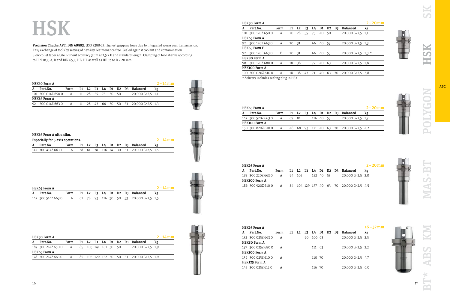|          |                                                                                                                                                        |    |    |    |  |                                               |                    | $16 - 32$ mm |
|----------|--------------------------------------------------------------------------------------------------------------------------------------------------------|----|----|----|--|-----------------------------------------------|--------------------|--------------|
| Part.No. | Form                                                                                                                                                   | L1 | L2 | L3 |  |                                               | <b>Balanced</b>    | kg           |
|          | A                                                                                                                                                      |    |    | 90 |  |                                               | $20.000$ G=2,5 2,5 |              |
|          |                                                                                                                                                        |    |    |    |  |                                               |                    |              |
|          | А                                                                                                                                                      |    |    |    |  |                                               | $20.000$ G=2,5 2,2 |              |
|          |                                                                                                                                                        |    |    |    |  |                                               |                    |              |
|          | А                                                                                                                                                      |    |    |    |  |                                               | $20.000$ G=2,5 4,7 |              |
|          |                                                                                                                                                        |    |    |    |  |                                               |                    |              |
|          | А                                                                                                                                                      |    |    |    |  |                                               | $20.000$ G=2,5 6,0 |              |
|          | HSK63 Form A<br>132 300 0257 663 0<br>HSK80 Form A<br>137 300 025Z 680 0<br>HSK100 Form A<br>139 300 025Z 610 0<br>HSK125 Form A<br>145 300 025Z 612 0 |    |    |    |  | L4 D1<br>106 63<br>111 63<br>110 70<br>116 70 | D2 D3              |              |

| HSK63 Form A       |      |       |  |           |  |                                        | $2 - 20$ mm |
|--------------------|------|-------|--|-----------|--|----------------------------------------|-------------|
| Part.No.           | Form |       |  |           |  | L1 L2 L3 L4 D1 D2 D3 Balanced          | kg          |
| 142 300 520 266 30 | A    | 69 81 |  | 116 40 53 |  | $20.000$ G=2.5 1.7                     |             |
| HSK100 Form A      |      |       |  |           |  |                                        |             |
| 150 300 820Z 610 0 | A    |       |  |           |  | 48 68 93 121 40 63 70 20.000 G=2.5 4.2 |             |

| HSK63 Form A        |      |    |       |  |        |      |                                       | $2 - 20$ mm |
|---------------------|------|----|-------|--|--------|------|---------------------------------------|-------------|
| Part.No.            | Form |    |       |  |        |      | L1 L2 L3 L4 D1 D2 D3 Balanced         | kg          |
| 178 300 220  663  0 | A    | 94 | - 105 |  | 152 40 | - 53 | $20.000$ G=2,5 2,0                    |             |
| HSK100 Form A       |      |    |       |  |        |      |                                       |             |
| 186 300 920Z 610 0  | A    | 84 |       |  |        |      | 104 129 157 40 63 70 20.000 G=2.5 4.5 |             |
|                     |      |    |       |  |        |      |                                       |             |

|              | HSK50 Form A                                              |      |  |  |  |                               | $2 - 14$ mm |
|--------------|-----------------------------------------------------------|------|--|--|--|-------------------------------|-------------|
| $\mathbf{A}$ | Part.No.                                                  | Form |  |  |  | L1 L2 L3 L4 D1 D2 D3 Balanced | kg          |
|              | 101 300 014Z 650 0 A 11 28 55 75 30 50 20.000 G=2,5 1,1   |      |  |  |  |                               |             |
|              | HSK63 Form A                                              |      |  |  |  |                               |             |
|              | 92 300 0142 663 0 A 11 28 43 66 30 50 53 20.000 G=2.5 1.3 |      |  |  |  |                               |             |



| HSK63 Form A                                                |  |  |  |  |                                    | $2 - 14$ mm |
|-------------------------------------------------------------|--|--|--|--|------------------------------------|-------------|
| A Part.No.                                                  |  |  |  |  | Form L1 L2 L3 L4 D1 D2 D3 Balanced | kg          |
| 142 300 514Z 663 0 A 61 78 93 116 30 50 53 20.000 G=2.5 1.5 |  |  |  |  |                                    |             |



### **HSK**

Precision Chucks APC, DIN 69893. (ISO 7388-2). Highest gripping force due to integrated worm gear transmission. Easy exchange of tools by setting of hex-key. Maintenance free. Sealed against coolant and contamination. Slow collet taper angle. Runout accuracy 3 µm at 2,5 x D and standard length. Clamping of tool shanks according to DIN 1835 A, B and DIN 6535 HB, HA as well as HE up to D = 20 mm.

| HSK50 Form A                              |      |  |  |  |                                          | $2 - 14$ mm |
|-------------------------------------------|------|--|--|--|------------------------------------------|-------------|
| Part.No.                                  | Form |  |  |  | L1 L2 L3 L4 D1 D2 D3 Balanced            | kg          |
| 187 300 214Z 650 0 A 85 103 141 161 30 50 |      |  |  |  | $20.000$ G=2,5 1,9                       |             |
| HSK63 Form A                              |      |  |  |  |                                          |             |
| 178 300 2147 663 0                        | A    |  |  |  | 85 103 129 152 30 50 53 20.000 G=2.5 1.9 |             |



| HSK63 Form A ultra slim. |                                   |  |  |  |  |  |  |  |  |                                          |             |
|--------------------------|-----------------------------------|--|--|--|--|--|--|--|--|------------------------------------------|-------------|
|                          | Especially for 5-axis operations. |  |  |  |  |  |  |  |  |                                          | $2 - 14$ mm |
|                          | Part.No.                          |  |  |  |  |  |  |  |  | Form L1 L2 L3 L4 D1 D2 D3 Balanced       | kg          |
|                          | 142 300 414Z 663 1                |  |  |  |  |  |  |  |  | A 38 61 78 116 24 30 53 20.000 G=2.5 1.5 |             |
|                          |                                   |  |  |  |  |  |  |  |  |                                          |             |

|             | p |             |
|-------------|---|-------------|
| ì<br>ï      | t |             |
|             | Ï |             |
| l<br>2<br>÷ |   |             |
|             |   | Ì<br>š<br>٠ |

|    | HSK50 Form A       |      |    |                |    |    |    |                |    |                    | 2   |
|----|--------------------|------|----|----------------|----|----|----|----------------|----|--------------------|-----|
| A  | Part.No.           | Form | L1 | L <sub>2</sub> | L3 | L4 | D1 | D <sub>2</sub> | D3 | <b>Balanced</b>    | kg  |
|    | 101 300 1207 650 0 | A    | 20 | 28             | 55 | 75 | 40 | 50             |    | $20.000$ G=2.5     | 1.1 |
|    | HSK63 Form A       |      |    |                |    |    |    |                |    |                    |     |
| 92 | 300 120Z 663 0     | A    | 20 | 31             |    | 66 | 40 | 53             |    | $20.000$ G=2,5 1,3 |     |
|    | HSK63 Form F       |      |    |                |    |    |    |                |    |                    |     |
| 92 | 300 120F 663 0     | F    | 20 | 31             |    | 66 | 40 | 53             |    | $20.000$ G=2,5 1,3 |     |
|    | HSK80 Form A       |      |    |                |    |    |    |                |    |                    |     |
| 98 | 300 1207 680 0     | A    | 18 | 38             |    | 72 | 40 | 63             |    | $20.000$ G=2.5     | 1.8 |
|    | HSK100 Form A      |      |    |                |    |    |    |                |    |                    |     |
|    | 100 300 020Z 610 0 | Α    | 18 | 38             | 43 | 71 | 40 | 63             | 70 | 20.000 G=2.5       | 3.8 |

|     |  | $2 - 20$ mm                                                                                                                                              |
|-----|--|----------------------------------------------------------------------------------------------------------------------------------------------------------|
|     |  | kg                                                                                                                                                       |
| -50 |  |                                                                                                                                                          |
|     |  |                                                                                                                                                          |
| -53 |  |                                                                                                                                                          |
|     |  |                                                                                                                                                          |
| -53 |  |                                                                                                                                                          |
|     |  |                                                                                                                                                          |
| 63  |  |                                                                                                                                                          |
|     |  |                                                                                                                                                          |
|     |  |                                                                                                                                                          |
|     |  | D <sub>2</sub> D <sub>3</sub> Balanced<br>$20.000$ G=2.5 1.1<br>$20.000$ G=2,5 1,3<br>20.000 G=2.5 1.3 $*$<br>20.000 G=2,5 1,8<br>63 70 20.000 G=2,5 3,8 |

| ٠           |  |  |
|-------------|--|--|
|             |  |  |
| ٠           |  |  |
| ï<br>ì<br>ï |  |  |
|             |  |  |
| š           |  |  |

| ÷<br>× |  |
|--------|--|



**MAS-BT** 

| ۰. | r. |  |  |
|----|----|--|--|
|    |    |  |  |
| ٠. |    |  |  |

\* delivery includes sealing plug in HSK \*

| <b>C</b><br>H            |                     |   |                  |
|--------------------------|---------------------|---|------------------|
| ŀ                        |                     | L |                  |
|                          |                     |   |                  |
|                          |                     |   |                  |
|                          |                     |   |                  |
|                          |                     |   |                  |
|                          |                     |   |                  |
|                          |                     |   |                  |
|                          |                     |   |                  |
| I                        | Z                   |   |                  |
| I                        |                     |   |                  |
| ĺ                        |                     |   |                  |
|                          |                     |   |                  |
|                          | $\frac{1}{2}$       |   |                  |
|                          |                     |   |                  |
|                          |                     |   |                  |
| I                        |                     |   |                  |
|                          |                     |   |                  |
|                          |                     |   |                  |
|                          |                     |   |                  |
|                          |                     |   |                  |
|                          |                     |   |                  |
|                          |                     |   |                  |
|                          |                     |   |                  |
|                          |                     |   |                  |
|                          |                     |   |                  |
|                          |                     |   |                  |
|                          |                     |   |                  |
|                          |                     |   |                  |
|                          |                     |   |                  |
|                          |                     |   |                  |
|                          |                     |   |                  |
| C                        |                     | í |                  |
| I                        | Ì                   |   |                  |
| I                        |                     |   |                  |
|                          | $\geq$              |   |                  |
|                          |                     |   |                  |
|                          |                     |   |                  |
|                          |                     |   |                  |
|                          |                     |   |                  |
|                          |                     |   |                  |
|                          |                     |   |                  |
|                          |                     |   |                  |
|                          |                     |   |                  |
|                          |                     |   |                  |
| $\overline{\phantom{a}}$ |                     |   |                  |
| I                        | <b>CONSTRUCTION</b> |   |                  |
|                          |                     |   |                  |
|                          |                     |   |                  |
|                          |                     |   |                  |
|                          |                     |   |                  |
|                          |                     |   |                  |
|                          |                     |   |                  |
|                          |                     |   |                  |
|                          |                     |   | $\sum_{i=1}^{n}$ |
|                          |                     |   |                  |
|                          |                     |   |                  |
|                          |                     |   |                  |
|                          |                     |   |                  |
|                          |                     |   |                  |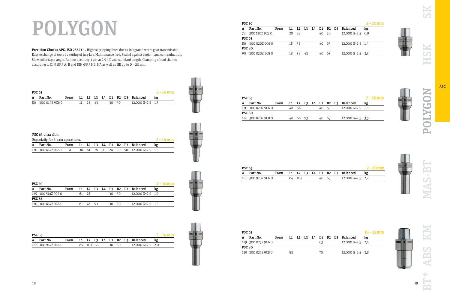K  $\overline{\mathbf{C}}$ 

ř  $\overline{C}$ 量



 $\overline{\Omega}$ 

| <b>PSC 63</b> |                   |  |  |          |  |  |  |       |  |                                    |    |  |
|---------------|-------------------|--|--|----------|--|--|--|-------|--|------------------------------------|----|--|
|               | A Part.No.        |  |  |          |  |  |  |       |  | Form L1 L2 L3 L4 D1 D2 D3 Balanced | kg |  |
|               | 80 300 014Z 9C6 0 |  |  | 11 28 43 |  |  |  | 30 50 |  | 12.000 G=2.5 1.3                   |    |  |

|   |  | ۹ | ь       |   |
|---|--|---|---------|---|
|   |  | ۱ | ٦<br>i. |   |
|   |  |   | ï       | ١ |
| X |  |   |         |   |
|   |  |   |         |   |

| <b>PSC 63</b> |                    |      |            |  |       |  |                               | $2 - 14$ mm |
|---------------|--------------------|------|------------|--|-------|--|-------------------------------|-------------|
| A             | Part.No.           | Form |            |  |       |  | L1 L2 L3 L4 D1 D2 D3 Balanced |             |
|               | 166 300 914Z 9C6 0 |      | 85 103 129 |  | 30 50 |  | 12.000 G=2,5 2,0              |             |



|    | <b>PSC 50</b>     |      |    |                |    |    |    |     |                               |                    |    |  |  |  |
|----|-------------------|------|----|----------------|----|----|----|-----|-------------------------------|--------------------|----|--|--|--|
|    | Part.No.          | Form | L1 | L <sub>2</sub> | L3 | L4 | D1 |     | D <sub>2</sub> D <sub>3</sub> | <b>Balanced</b>    | kg |  |  |  |
| 78 | 300 120Z 9C5 0    |      | 20 | -28            |    |    | 40 | 50  |                               | $12.000$ G=2.5 0.9 |    |  |  |  |
|    | <b>PSC 63</b>     |      |    |                |    |    |    |     |                               |                    |    |  |  |  |
|    | 80 300 020Z 9C6 0 |      | 18 | 38             |    |    | 40 | -63 |                               | 12.000 $G=2,5$ 1,4 |    |  |  |  |
|    | <b>PSC 80</b>     |      |    |                |    |    |    |     |                               |                    |    |  |  |  |
| 90 | 300 020Z 9C8 0    |      | 18 | 38             | 43 |    | 40 | 63  |                               | $12.000$ G=2.5 3.3 |    |  |  |  |
|    |                   |      |    |                |    |    |    |     |                               |                    |    |  |  |  |

| <b>PSC 63</b>      |      |  |    |     |  |     |     |  |                    |                               |  |  |  |
|--------------------|------|--|----|-----|--|-----|-----|--|--------------------|-------------------------------|--|--|--|
| Part.No.           | Form |  |    |     |  |     |     |  |                    | kg                            |  |  |  |
| 130 300 820Z 9C6 0 |      |  | 68 |     |  | 40  | -63 |  | $12.000$ G=2.5 1.6 |                               |  |  |  |
| <b>PSC 80</b>      |      |  |    |     |  |     |     |  |                    |                               |  |  |  |
| 140 300 820Z 9C8 0 |      |  | 68 | ୍ରଦ |  | 40. | -63 |  | $12.000$ G=2.5 3.5 |                               |  |  |  |
|                    |      |  |    |     |  |     |     |  |                    | L1 L2 L3 L4 D1 D2 D3 Balanced |  |  |  |

|   | PSC 63 ultra slim.                |   |  |  |  |                                       |             |
|---|-----------------------------------|---|--|--|--|---------------------------------------|-------------|
|   | Especially for 5-axis operations. |   |  |  |  |                                       | $2 - 14$ mm |
| A | Part.No.                          |   |  |  |  | Form L1 L2 L3 L4 D1 D2 D3 Balanced    | kg          |
|   | 130 300 414Z 9C6 1                | A |  |  |  | 38 61 78 93 24 30 50 12.000 G=2,5 1,5 |             |

| ٠<br>٠<br>m      |
|------------------|
| ı                |
| ٠<br>٠<br>٠<br>× |

| $2 - 20$ mm<br><b>PSC 63</b> |                    |      |  |        |  |  |  |       |  |                               |  |  |  |
|------------------------------|--------------------|------|--|--------|--|--|--|-------|--|-------------------------------|--|--|--|
|                              | Part.No.           | Form |  |        |  |  |  |       |  | L1 L2 L3 L4 D1 D2 D3 Balanced |  |  |  |
|                              | 166 300 920Z 9C6 0 |      |  | 84 104 |  |  |  | 40 63 |  | $12.000$ G=2.5 2.2            |  |  |  |

Precision Chucks APC, ISO 26623-1. Highest gripping force due to integrated worm gear transmission. Easy exchange of tools by setting of hex-key. Maintenance free. Sealed against coolant and contamination. Slow collet taper angle. Runout accuracy 3 µm at 2.5 x D and standard length. Clamping of tool shanks according to DIN 1835 A, B and DIN 6535 HB, HA as well as HE up to D = 20 mm.

| <b>PSC 63</b>      |      |  |  |    |  |                    | $16 - 32$ mm                  |
|--------------------|------|--|--|----|--|--------------------|-------------------------------|
| Part.No.           | Form |  |  |    |  |                    | kg                            |
| 119 300 025Z 9C6 0 |      |  |  | 63 |  | $12.000$ G=2.5 2.4 |                               |
| <b>PSC 80</b>      |      |  |  |    |  |                    |                               |
| 129 300 025Z 9C8 0 |      |  |  | 70 |  | $12.000$ G=2,5 3,8 |                               |
|                    |      |  |  |    |  |                    | L1 L2 L3 L4 D1 D2 D3 Balanced |

| <b>PSC 50</b> |                    |      |    |      |    |     |    |                               | $2 - 14$ mm |
|---------------|--------------------|------|----|------|----|-----|----|-------------------------------|-------------|
|               | Part.No.           | Form |    |      |    |     |    | L1 L2 L3 L4 D1 D2 D3 Balanced | kg          |
|               | 125 300 514Z 9C5 0 |      | 61 | - 78 |    | 30  | 50 | $12.000$ G=2.5 1.0            |             |
| <b>PSC 63</b> |                    |      |    |      |    |     |    |                               |             |
|               | 130 300 814Z 9C6 0 |      | 61 | -78  | 93 | 30. | 50 | $12.000$ G=2.5 $1.5$          |             |

|                        | ٠   |
|------------------------|-----|
|                        | . . |
| ×<br>÷<br>Ŷ.<br>٠<br>÷ |     |
| ۰<br>٠                 |     |

### POLYGON





APC



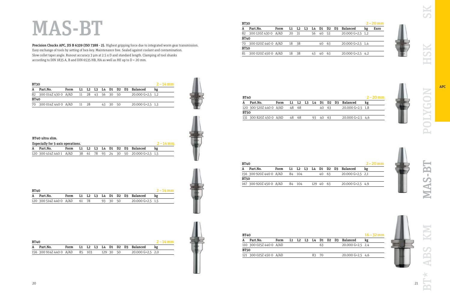| <b>BT30</b> |                                          |      |       |  |          |  |                                                    | $2 - 14$ mm |
|-------------|------------------------------------------|------|-------|--|----------|--|----------------------------------------------------|-------------|
| A           | Part.No.                                 | Form |       |  |          |  | L1    L2    L3    L4    D1    D2    D3    Balanced | kg          |
|             | 82 300 014Z 430 0 A/AD 11 28 43 56 30 50 |      |       |  |          |  | 20.000 G=2.5 1.2                                   |             |
| <b>BT40</b> |                                          |      |       |  |          |  |                                                    |             |
|             | 70 300 014Z 440 0 A/AD                   |      | 11 28 |  | 43 30 50 |  | $20.000$ G=2,5 1,3                                 |             |

| <b>BT40</b> |                               |  |  |          |  |                                    | $2 - 14$ mm |
|-------------|-------------------------------|--|--|----------|--|------------------------------------|-------------|
|             | A Part.No.                    |  |  |          |  | Form L1 L2 L3 L4 D1 D2 D3 Balanced |             |
|             | 120 300 514Z 440 0 A/AD 61 78 |  |  | 93 30 50 |  | 20.000 G=2.5 1.5                   |             |

| <b>BT40</b> |                                |      |  |           |  |                               | $2 - 14$ mm |
|-------------|--------------------------------|------|--|-----------|--|-------------------------------|-------------|
|             | A Part.No.                     | Form |  |           |  | L1 L2 L3 L4 D1 D2 D3 Balanced | kg          |
|             | 156 300 914Z 440 0 A/AD 85 103 |      |  | 129 30 50 |  | $20.000$ G=2.5 2.0            |             |

| <b>BT30</b> |                     |      |    |           |    |       |    |       |                    |    | $2 - 20$ mm |
|-------------|---------------------|------|----|-----------|----|-------|----|-------|--------------------|----|-------------|
|             | Part.No.            | Form |    | $L1$ $L2$ | L3 | L4 D1 |    | D2 D3 | Balanced           | kg | Euro        |
| 82          | 300 120Z 430 0 A/AD |      | 20 | - 31      |    | 56    | 40 | -53   | $20.000$ G=2,5 1,2 |    |             |
| <b>BT40</b> |                     |      |    |           |    |       |    |       |                    |    |             |
| 70          | 300 020Z 440 0 A/AD |      | 18 | - 38      |    |       | 40 | -63   | $20.000$ G=2,5 1,4 |    |             |
| <b>BT50</b> |                     |      |    |           |    |       |    |       |                    |    |             |
| 81          | 300 020Z 450 0 A/AD |      | 18 | -38       |    | 43    | 40 | 63    | $20.000$ G=2,5 4,2 |    |             |
|             |                     |      |    |           |    |       |    |       |                    |    |             |

| <b>BT40</b> |                         |      |       |  |     |       |       |                               | $2 - 20$ mm |
|-------------|-------------------------|------|-------|--|-----|-------|-------|-------------------------------|-------------|
|             | Part.No.                | Form |       |  |     |       |       | L1 L2 L3 L4 D1 D2 D3 Balanced | kg          |
|             | 120 300 520Z 440 0 A/AD |      | 48 68 |  |     |       | 40 63 | $20.000$ G=2.5 1.8            |             |
| <b>BT50</b> |                         |      |       |  |     |       |       |                               |             |
|             | 131 300 820Z 450 0 A/AD |      | 48 68 |  | 93. | 40 63 |       | $20.000$ G=2,5 4,6            |             |
|             |                         |      |       |  |     |       |       |                               |             |

Precision Chucks APC, JIS B 6339 (ISO 7388 - 2). Highest gripping force due to integrated worm gear transmission. Easy exchange of tools by setting of hex-key. Maintenance free. Sealed against coolant and contamination. Slow collet taper angle. Runout accuracy 3 µm at 2.5 x D and standard length. Clamping of tool shanks according to DIN 1835 A, B and DIN 6535 HB, HA as well as HE up to D = 20 mm.

| <b>BT40</b> |                         |      |    |        |  |           |       |                               | $2 - 20$ mm |
|-------------|-------------------------|------|----|--------|--|-----------|-------|-------------------------------|-------------|
|             | Part.No.                | Form |    |        |  |           |       | L1 L2 L3 L4 D1 D2 D3 Balanced | kg          |
|             | 156 300 920Z 440 0 A/AD |      |    | 84 104 |  |           | 40 63 | $20.000$ G=2,5 2,1            |             |
| <b>BT50</b> |                         |      |    |        |  |           |       |                               |             |
|             | 167 300 920Z 450 0 A/AD |      | 84 | - 104  |  | 129 40 63 |       | $20.000$ G=2,5 4,9            |             |
|             |                         |      |    |        |  |           |       |                               |             |

| <b>BT40</b> |                         |      |  |  |      |  |                               | $16 - 32$ mm |
|-------------|-------------------------|------|--|--|------|--|-------------------------------|--------------|
| А           | Part.No.                | Form |  |  |      |  | L1 L2 L3 L4 D1 D2 D3 Balanced | kg           |
|             | 110 300 025Z 440 0 A/AD |      |  |  | 63   |  | $20.000$ G=2.5 2.4            |              |
| <b>BT50</b> |                         |      |  |  |      |  |                               |              |
|             | 121 300 025Z 450 0 A/AD |      |  |  | - 70 |  | $20.000$ G=2.5 4.6            |              |
|             |                         |      |  |  |      |  |                               |              |



SK

SK

董

| e v<br>$-0.00$<br>ï<br>I | ۰<br>÷<br>۰ |
|--------------------------|-------------|
| ì<br>ï<br>Ŷ.<br>٠        |             |

**APC** 

### MAS-BT



MAS-BT

N

S  $\overline{\mathbf{P}}$ ď

F





| BT40 ultra slim. |  |  |
|------------------|--|--|
|------------------|--|--|

| Especially for 5-axis operations. |                                                               |  |  |  |  |  |  |  |  | $2 - 14$ mm                        |  |
|-----------------------------------|---------------------------------------------------------------|--|--|--|--|--|--|--|--|------------------------------------|--|
|                                   | A Part.No.                                                    |  |  |  |  |  |  |  |  | Form L1 L2 L3 L4 D1 D2 D3 Balanced |  |
|                                   | 120 300 414Z 440 1 A/AD 38 61 78 93 24 30 50 20.000 G=2,5 1,5 |  |  |  |  |  |  |  |  |                                    |  |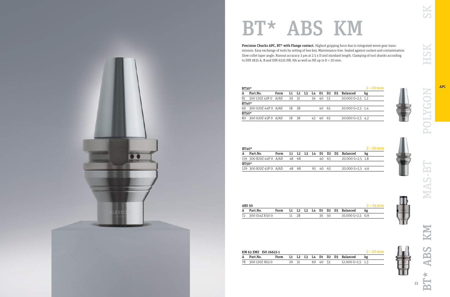

### BT\* ABS KM

| <b>BT30*</b> |                        |      |    |      |    |    |             |      |                    | $2 - 20$ mm |
|--------------|------------------------|------|----|------|----|----|-------------|------|--------------------|-------------|
| A            | Part.No.               | Form |    | L2   | L3 |    | L4 D1 D2 D3 |      | Balanced           | kg          |
| 81           | 300 120Z 43P 0 A/AD    |      | 20 | - 31 |    | 56 | 40          | - 53 | $20.000$ G=2,5 1,2 |             |
| <b>BT40*</b> |                        |      |    |      |    |    |             |      |                    |             |
|              | 69 300 020Z 44P 0 A/AD |      | 18 | - 38 |    |    | 40          | - 63 | $20.000$ G=2,5 1,4 |             |
| <b>BT50*</b> |                        |      |    |      |    |    |             |      |                    |             |
| 80           | 300 020Z 45P 0 A/AD    |      | 18 | -38  |    | 43 | 40          | 63   | $20.000$ G=2,5 4,2 |             |

|         | $BT40*$                 |      |     |       |  |     |  |       |  | $2 - 20$ mm                   |    |
|---------|-------------------------|------|-----|-------|--|-----|--|-------|--|-------------------------------|----|
|         | Part.No.                | Form |     |       |  |     |  |       |  | L1 L2 L3 L4 D1 D2 D3 Balanced | kg |
|         | 119 300 820Z 44P 0 A/AD |      |     | 48 68 |  |     |  | 40 63 |  | $20.000$ G=2,5 1,8            |    |
| $BT50*$ |                         |      |     |       |  |     |  |       |  |                               |    |
|         | 129 300 820Z 45P 0 A/AD |      | 48. | - 68  |  | 93. |  | 40 63 |  | $20.000$ G=2.5 4.6            |    |

| <b>ABS 50</b>     |      |  |  |       |                               | $2 - 14$ mm |
|-------------------|------|--|--|-------|-------------------------------|-------------|
| Part.No.          | Form |  |  |       | L1 L2 L3 L4 D1 D2 D3 Balanced |             |
| 72 300 014Z K50 0 |      |  |  | 30 50 | $10.000$ G=2,5 0,9            |             |

Precision Chucks APC, BT\* with Flange contact. Highest gripping force due to integrated worm gear transmission. Easy exchange of tools by setting of hex-key. Maintenance free. Sealed against coolant and contamination. Slow collet taper angle. Runout accuracy 3 µm at 2.5 x D and standard length. Clamping of tool shanks according to DIN 1835 A, B and DIN 6535 HB, HA as well as HE up to D = 20 mm.

| KM 63 XMZ ISO 26622-1 |                   |  |  |       |  |  |          |  |  | $2 - 20$ mm                        |  |
|-----------------------|-------------------|--|--|-------|--|--|----------|--|--|------------------------------------|--|
|                       | A Part.No.        |  |  |       |  |  |          |  |  | Form L1 L2 L3 L4 D1 D2 D3 Balanced |  |
|                       | 78 300 120Z X63 0 |  |  | 20 31 |  |  | 60 40 53 |  |  | 12.000 G=2.5 1.3                   |  |









SK

HSK

POLYGON

MAS-BT

ABS

**BT\***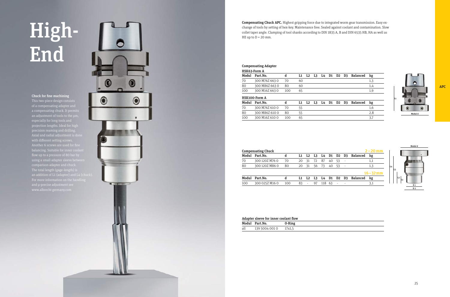# High-End

| Adapter sleeve for inner coolant flow |                |        |  |  |  |  |  |  |
|---------------------------------------|----------------|--------|--|--|--|--|--|--|
|                                       | Modul Part.No. | 0-Ring |  |  |  |  |  |  |
| all                                   | 139 5004 001 0 | 17x1.5 |  |  |  |  |  |  |

|       | <b>Compensating Adapter</b> |     |    |    |    |       |    |                |    |                 |     |
|-------|-----------------------------|-----|----|----|----|-------|----|----------------|----|-----------------|-----|
|       | HSK63-Form A                |     |    |    |    |       |    |                |    |                 |     |
| Modul | Part.No.                    | d   | L1 | L2 | L3 | L4 D1 |    | D <sub>2</sub> | D3 | <b>Balanced</b> | kg  |
| 70    | 300 M76Z 663 0              | 70  | 60 |    |    |       |    |                |    |                 | 1,3 |
| 80    | 300 M86Z 663 0              | 80  | 60 |    |    |       |    |                |    |                 | 1,4 |
| 100   | 300 M16Z 663 0              | 100 | 65 |    |    |       |    |                |    |                 | 1,9 |
|       | HSK100-Form A               |     |    |    |    |       |    |                |    |                 |     |
| Modul | Part.No.                    | d   | L1 | L2 | L3 | L4    | D1 | D <sub>2</sub> | D3 | <b>Balanced</b> | kg  |
| 70    | 300 M76Z 610 0              | 70  | 55 |    |    |       |    |                |    |                 | 1,6 |
| 80    | 300 M86Z 610 0              | 80  | 55 |    |    |       |    |                |    |                 | 2,8 |
| 100   | 300 M16Z 610 0              | 100 | 65 |    |    |       |    |                |    |                 | 3,7 |



|       | <b>Compensating Chuck</b> |     |     |        |    |                      |       |           |            |                               | $2 - 20$ mm  |
|-------|---------------------------|-----|-----|--------|----|----------------------|-------|-----------|------------|-------------------------------|--------------|
| Modul | Part.No.                  | d   |     |        |    | L1 L2 L3 L4 D1 D2 D3 |       |           |            | Balanced                      | kg           |
| 70    | 300 120Z M76 0            | 70  | 20  | - 31   | 72 | 87                   |       | 40 53     |            |                               | 1,1          |
| 80    | 300 120Z M86 0            | 80  | 20  | 31     |    | 56 73                | 40 53 |           | $\sim$ $-$ |                               | 1.3          |
|       |                           |     |     |        |    |                      |       |           |            |                               | $16 - 32$ mm |
| Modul | Part.No.                  | d   |     |        |    |                      |       |           |            | L1 L2 L3 L4 D1 D2 D3 Balanced | kg           |
| 100   | 300 025Z M16 0            | 100 | 83. | $\sim$ | 97 | 118 63               |       | $\sim 10$ |            |                               | 3.1          |
|       |                           |     |     |        |    |                      |       |           |            |                               |              |

|     | <b>Compensating Chuck</b> |     |     |                          |       |        |       |            |               |                               | $2 - 20$ mm  |
|-----|---------------------------|-----|-----|--------------------------|-------|--------|-------|------------|---------------|-------------------------------|--------------|
|     | Modul Part.No.            | d   |     |                          |       |        |       |            |               | L1 L2 L3 L4 D1 D2 D3 Balanced | kg           |
| 70  | 300 120Z M76 0            | 70  | 20. | 31                       | -72   | 87     | 40    | -53        |               |                               | 1,1          |
| 80  | 300 120Z M86 0            | 80  | 20  | - 31                     | 56 73 |        | 40 53 |            | $\sim$ $\sim$ |                               | 1,3          |
|     |                           |     |     |                          |       |        |       |            |               |                               | $16 - 32$ mm |
|     | Modul Part.No.            |     |     |                          |       |        |       |            |               | L1 L2 L3 L4 D1 D2 D3 Balanced | kg           |
| 100 | 300 025Z M16 0            | 100 | 83. | $\overline{\phantom{a}}$ | -97   | 118 63 |       | $\sim 100$ |               |                               | 3,1          |
|     |                           |     |     |                          |       |        |       |            |               |                               |              |

This two-piece design consists of a compensating adapter and a compensating chuck. It permits an adjustment of tools to the µm, especially for long tools and projection lengths. Ideal for high precision reaming and drilling. Axial and radial adjustment is done with different setting screws. using a small adapter sleeve between comparison adapter and chuck. The total length (gage-length) is



Compensating Chuck APC. Highest gripping force due to integrated worm gear transmission. Easy exchange of tools by setting of hex-key. Maintenance free. Sealed against coolant and contamination. Slow collet taper angle. Clamping of tool shanks according to DIN 1835 A, B and DIN 6535 HB, HA as well as HE up to  $D = 20$  mm.



### Chuck for fine machining

APC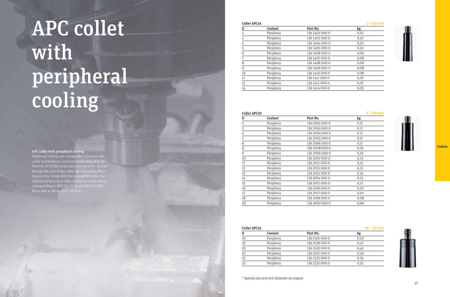### Collet APC14

### 2 –14mm

| D  | Coolant   | Part.No.       | kg   |
|----|-----------|----------------|------|
| 2  | Periphery | 136 1402 000 0 | 0,10 |
| 3  | Periphery | 136 1403 000 0 | 0,10 |
| 4  | Periphery | 136 1404 000 0 | 0,10 |
| 5  | Periphery | 136 1405 000 0 | 0,10 |
| 6  | Periphery | 136 1406 000 0 | 0,09 |
| 7  | Periphery | 136 1407 000 0 | 0,09 |
| 8  | Periphery | 136 1408 000 0 | 0,09 |
| 9  | Periphery | 136 1409 000 0 | 0,08 |
| 10 | Periphery | 136 1410 000 0 | 0,08 |
| 11 | Periphery | 136 1411 000 0 | 0,07 |
| 12 | Periphery | 136 1412 000 0 | 0,07 |
| 14 | Periphery | 136 1414 000 0 | 0,05 |

Additional cooling and rinsing effect. Increases the safety of processing. Constant coolant flow of 14-16 litre/min at 50 bar coolant pressure up to  $D = 20$  mm through the slots of the collet. Special coating. Main tenance free. Integrated, fine adjustable length stop with access from both sides. Clamping of tool shanks corresponding to DIN 1835 A, B and DIN 6535 HB, HA as well as HE up to  $D = 20$  mm.

| <b>Collet APC20</b> |           |                | $2 - 20$ mm |
|---------------------|-----------|----------------|-------------|
| D                   | Coolant   | Part.No.       | kg          |
| $\overline{2}$      | Periphery | 136 2002 000 0 | 0,17        |
| 3                   | Periphery | 136 2003 000 0 | 0,17        |
| 4                   | Periphery | 136 2004 000 0 | 0,17        |
| 5                   | Periphery | 136 2005 000 0 | 0,17        |
| 6                   | Periphery | 136 2006 000 0 | 0,17        |
| 8                   | Periphery | 136 2008 000 0 | 0,16        |
| 9                   | Periphery | 136 2009 000 0 | 0,16        |
| 10                  | Periphery | 136 2010 000 0 | 0,15        |
| 11                  | Periphery | 136 2011 000 0 | 0,15        |
| 12                  | Periphery | 136 2012 000 0 | 0,15        |
| 13                  | Periphery | 136 2013 000 0 | 0,14        |
| 14                  | Periphery | 136 2014 000 0 | 0,13        |
| 15                  | Periphery | 136 2015 000 0 | 0,12        |
| 16                  | Periphery | 136 2016 000 0 | 0,10        |
| 17                  | Periphery | 136 2017 000 0 | 0,10        |
| 18                  | Periphery | 136 2018 000 0 | 0,08        |
| 20                  | Periphery | 136 2020 000 0 | 0,06        |

### Collet APC25 D Coolant Part.No 16 Periphery 136 25 18 Periphery 136 25 20 Periphery 136 252 22 Periphery 136 252 25 Periphery 136 252

| <b>Collet APC25</b> |           |                | $16 - 32$ mm |
|---------------------|-----------|----------------|--------------|
| D                   | Coolant   | Part.No.       | kg           |
| 16                  | Periphery | 136 2516 000 0 | 0,50         |
| 18                  | Periphery | 136 2518 000 0 | 0,45         |
| 20                  | Periphery | 136 2520 000 0 | 0,42         |
| 22                  | Periphery | 136 2522 000 0 | 0,40         |
| 25                  | Periphery | 136 2525 000 0 | 0.34         |
| 32                  | Periphery | 136 2532 000 0 | 0,22         |
|                     |           |                |              |







**Collets** 

\* Special size and inch diameter on request

# APC collet with peripheral cooling

### APC collet with peripheral cooling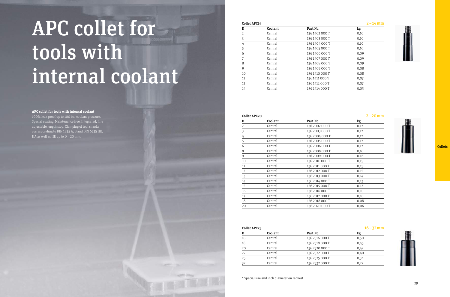| <b>Collet APC25</b> |         |                | $16 - 32$ mm |
|---------------------|---------|----------------|--------------|
| D                   | Coolant | Part.No.       | kg           |
| 16                  | Central | 136 2516 000 T | 0,50         |
| 18                  | Central | 136 2518 000 T | 0,45         |
| 20                  | Central | 136 2520 000 T | 0,42         |
| 22                  | Central | 136 2522 000 T | 0,40         |
| 25                  | Central | 136 2525 000 T | 0,34         |
| 32                  | Central | 136 2532 000 T | 0,22         |
|                     |         |                |              |

\* Special size and inch diameter on request

| ÷. | . . |  |
|----|-----|--|
|    |     |  |







### **Collets**

| <b>Collet APC20</b> |         |                | $2 - 20$ mm   |
|---------------------|---------|----------------|---------------|
| D                   | Coolant | Part.No.       | $\mathbf{kg}$ |
| 2                   | Central | 136 2002 000 T | 0,17          |
| $\frac{3}{1}$       | Central | 136 2003 000 T | 0,17          |
| 4                   | Central | 136 2004 000 T | 0,17          |
| $\overline{5}$      | Central | 136 2005 000 T | 0,17          |
| 6                   | Central | 136 2006 000 T | 0,17          |
| 8                   | Central | 136 2008 000 T | 0,16          |
| 9                   | Central | 136 2009 000 T | 0,16          |
| 10                  | Central | 136 2010 000 T | 0,15          |
| 11                  | Central | 136 2011 000 T | 0,15          |
| 12                  | Central | 136 2012 000 T | 0,15          |
| 13                  | Central | 136 2013 000 T | 0,14          |
| 14                  | Central | 136 2014 000 T | 0,13          |
| 15                  | Central | 136 2015 000 T | 0,12          |
| 16                  | Central | 136 2016 000 T | 0,10          |
| 17                  | Central | 136 2017 000 T | 0,10          |
| 18                  | Central | 136 2018 000 T | 0,08          |
| 20                  | Central | 136 2020 000 T | 0,06          |

100% leak proof up to 100 bar coolant pressure. Special coating. Maintenance free. Integrated, fine adjustable length stop. Clamping of tool shanks corresponding to DIN 1835 A, B and DIN 6535 HB, HA as well as HE up to  $D = 20$  mm.

### Collet APC14

| D              | Coolant | Part.No.       | kg   |
|----------------|---------|----------------|------|
| $\overline{2}$ | Central | 136 1402 000 T | 0,10 |
| 3              | Central | 136 1403 000 T | 0,10 |
| 4              | Central | 136 1404 000 T | 0,10 |
| 5              | Central | 136 1405 000 T | 0,10 |
| 6              | Central | 136 1406 000 T | 0.09 |
| 7              | Central | 136 1407 000 T | 0.09 |
| 8              | Central | 136 1408 000 T | 0.09 |
| 9              | Central | 136 1409 000 T | 0,08 |
| 10             | Central | 136 1410 000 T | 0,08 |
| 11             | Central | 136 1411 000 T | 0,07 |
| 12             | Central | 136 1412 000 T | 0,07 |
| 14             | Central | 136 1414 000 T | 0.05 |

# APC collet for tools with internal coolant

### **APC collet for tools with internal coolant**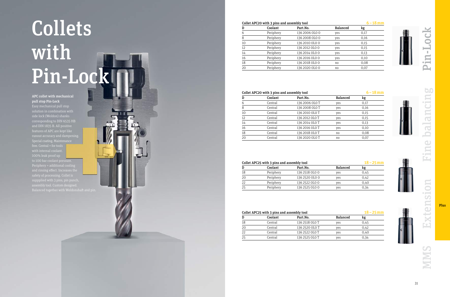|   |                 | $18 - 25$ mm |
|---|-----------------|--------------|
|   | <b>Balanced</b> | kg           |
| 0 | yes             | 0.45         |
| 0 | yes             | 0.42         |
| 0 | yes             | 0,40         |
| 0 | yes             | 0,34         |
|   |                 |              |

### Collet APC20 with 3 pins and assembly tool

|                 | $6 - 18$ mm |
|-----------------|-------------|
| <b>Balanced</b> | kg          |
| yes             | 0,17        |
| yes             | 0,16        |
| yes             | 0,15        |
| yes             | 0,15        |
| yes             | 0,13        |
| yes             | 0,10        |
| no              | 0,08        |
| no              | 0,07        |

| D  | Coolant | Part.No.       | <b>Balanced</b> | kg   |
|----|---------|----------------|-----------------|------|
| 6  | Central | 136 2006 OLO T | yes             | 0,17 |
| 8  | Central | 136 2008 OLO T | yes             | 0,16 |
| 10 | Central | 136 2010 OLO T | yes             | 0,15 |
| 12 | Central | 136 2012 OLO T | yes             | 0,15 |
| 14 | Central | 136 2014 OLO T | yes             | 0,13 |
| 16 | Central | 136 2016 OLO T | yes             | 0,10 |
| 18 | Central | 136 2018 OLO T | no              | 0,08 |
| 20 | Central | 136 2020 OLO T | no              | 0,07 |
|    |         |                |                 |      |

### Collet APC25 with 3 pins and assembly tool D Coolant Part.No. 18 Periphery 136 2518 0L0 0 20 Periphery 136 2520 0L0 22 Periphery 136 2522 0L0<br>25 Periphery 136 2525 0L0

Periphery 136 2525 0L0

| Collet APC25 with 3 pins and assembly tool | $18 - 25$ mm |                |                 |      |
|--------------------------------------------|--------------|----------------|-----------------|------|
| D                                          | Coolant      | Part.No.       | <b>Balanced</b> | kg   |
| 18                                         | Central      | 136 2518 OLO T | ves             | 0.45 |
| 20                                         | Central      | 136 2520 OLO T | ves             | 0.42 |
| 22                                         | Central      | 136 2522 OLO T | ves             | 0,40 |
| 25                                         | Central      | 136 2525 OLO T | yes             | 0.34 |
|                                            |              |                |                 |      |



| D  | Coolant   | Part.No.       | <b>Balanced</b> | kg   |
|----|-----------|----------------|-----------------|------|
| 6  | Periphery | 136 2006 OLO 0 | yes             | 0,17 |
| 8  | Periphery | 136 2008 OLO 0 | yes             | 0,16 |
| 10 | Periphery | 136 2010 OLO O | yes             | 0,15 |
| 12 | Periphery | 136 2012 OLO O | yes             | 0,15 |
| 14 | Periphery | 136 2014 OLO O | yes             | 0,13 |
| 16 | Periphery | 136 2016 OLO O | yes             | 0,10 |
| 18 | Periphery | 136 2018 OLO O | no              | 0,08 |
| 20 | Periphery | 136 2020 OLO O | no              | 0,07 |
|    |           |                |                 |      |

### Collet APC20 with 3 pins and assembly tool

### 6 –18mm

OCK

 $\overline{\mathbf{H}}$ 

 $\bullet$  pm  $\parallel$ Ä

# Collets with Pin-Lock

### APC collet with mechanical pull stop Pin-Lock

Easy mechanical pull stop side lock (Weldon) shanks corresponding to DIN 6535 HB and DIN 1835 B. All positive features of APC are kept like Special coating. Maintenance 100% leak proof up Periphery = additional cooling and rinsing effect. Increases the suppplied with 3 pins, pin punch,

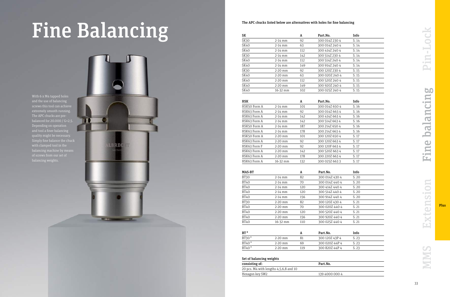| SK   |              | A   | Part.No.       | Info  |
|------|--------------|-----|----------------|-------|
| SK30 | $2-14$ mm    | 92  | 300 014Z 230 4 | S. 14 |
| SK40 | $2-14$ mm    | 63  | 300 014Z 240 4 | S.14  |
| SK40 | $2-14$ mm    | 112 | 300 414Z 240 4 | S. 14 |
| SK30 | $2-14$ mm    | 142 | 300 514Z 230 4 | S.14  |
| SK40 | $2-14$ mm    | 112 | 300 514Z 240 4 | S.14  |
| SK40 | $2-14$ mm    | 149 | 300 914Z 240 4 | S.14  |
| SK30 | $2-20$ mm    | 92  | 300 120Z 230 4 | S.15  |
| SK40 | $2-20$ mm    | 63  | 300 020Z 240 4 | S. 15 |
| SK40 | $2-20$ mm    | 112 | 300 520Z 240 4 | S. 15 |
| SK40 | $2-20$ mm    | 149 | 300 920Z 240 4 | S.15  |
| SK40 | $16 - 32$ mm | 102 | 300 025Z 240 4 | S.15  |

| <b>HSK</b>   |              | A   | Part.No.       | Info  |
|--------------|--------------|-----|----------------|-------|
| HSK50 Form A | $2-14$ mm    | 101 | 300 014Z 650 4 | S. 16 |
| HSK63 Form A | $2-14$ mm    | 92  | 300 014Z 663 4 | S. 16 |
| HSK63 Form A | $2-14$ mm    | 142 | 300 414Z 663 4 | S. 16 |
| HSK63 Form A | $2-14$ mm    | 142 | 300 514Z 663 4 | S. 16 |
| HSK50 Form A | $2-14$ mm    | 187 | 300 214 2650 4 | S. 16 |
| HSK63 Form A | $2-14$ mm    | 178 | 300 214 266 34 | S. 16 |
| HSK50 Form A | $2-20$ mm    | 101 | 300 120Z 650 4 | S. 17 |
| HSK63 Form A | $2-20$ mm    | 92  | 300 120Z 663 4 | S. 17 |
| HSK63 Form F | $2-20$ mm    | 92  | 300 120F 663 4 | S. 17 |
| HSK63 Form A | $2-20$ mm    | 142 | 300 520Z 663 4 | S. 17 |
| HSK63 Form A | $2-20$ mm    | 178 | 300 220Z 663 4 | S. 17 |
| HSK63 Form A | $16 - 32$ mm | 132 | 300 025Z 6633  | S. 17 |

With 6 x M4 tapped holes and the use of balancing screws this tool can achieve extremely smooth running. The APC chucks are prebalanced for 20.000 / G=2,5. Depending on operation and tool a finer balancing quality might be necessary. Simply fine balance the chuck with clamped tool in the balancing machine by means balancing weights.



| <b>MAS-BT</b> |             | A   | Part.No.       | Info  |
|---------------|-------------|-----|----------------|-------|
| BT30          | $2 - 14$ mm | 82  | 300 014Z 430 4 | S. 20 |
| <b>BT40</b>   | $2-14$ mm   | 70  | 300 014Z 440 4 | S. 20 |
| <b>BT40</b>   | $2 - 14$ mm | 120 | 300 414Z 440 4 | S. 20 |
| <b>BT40</b>   | $2 - 14$ mm | 120 | 300 514Z 440 4 | S. 20 |
| <b>BT40</b>   | $2-14$ mm   | 156 | 300 914Z 440 4 | S. 20 |
| BT30          | $2-20$ mm   | 82  | 300 120Z 430 4 | S. 21 |
| <b>BT40</b>   | $2 - 20$ mm | 70  | 300 020Z 440 4 | S. 21 |
| <b>BT40</b>   | $2 - 20$ mm | 120 | 300 520Z 440 4 | S. 21 |
| <b>BT40</b>   | $2-20$ mm   | 156 | 300 920Z 440 4 | S. 21 |
| <b>BT40</b>   | 16-32 mm    | 110 | 300 025Z 440 4 | S. 21 |

|             |     | Part.No.       | Info  |  |
|-------------|-----|----------------|-------|--|
| $2-20$ mm   |     | 300 120Z 43P 4 | S. 23 |  |
| $2 - 20$ mm | 69  | 300 020Z 44P 4 | S. 23 |  |
| $2-20$ mm   | 119 | 300 820Z 44P 4 | S. 23 |  |
|             |     |                |       |  |

### Set of balancing weights

| consisting of:                         |  |
|----------------------------------------|--|
| 20 pcs. M4 with lengths 4,5,6,8 and 10 |  |
| Hexagon key SW2                        |  |

### Part.No.

139 4000 000 4

in-Lock MMS Extension Fine balancing Pin-Lock富 balancing  $\bigcup$ **ni** Ě  $\blacksquare$ xtensio نحا

# Fine Balancing



The APC chucks listed below are alternatives with holes for fine balancing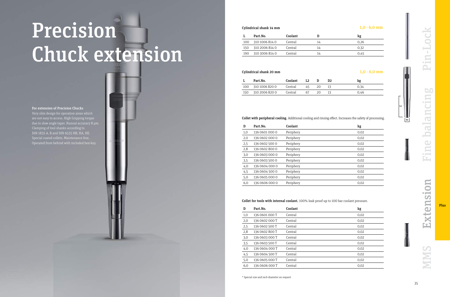|     | Part.No.       | Coolant |    | kg   |
|-----|----------------|---------|----|------|
| 100 | 310 1006 814 0 | Central | 14 | 0.26 |
| 150 | 310 2006 814 0 | Central | 14 | 0.32 |
| 190 | 310 3006 814 0 | Central | 14 | 0.45 |

### Cylindrical shank 20 mm  $1,0 - 6,0$  mm

|     | Part.No.           | Coolant |     |     | kg   |
|-----|--------------------|---------|-----|-----|------|
|     | 100 310 1006 820 0 | Central | 45. | 20. | 0.34 |
| 150 | 310 2006 820 0     | Central | 67  | 20. | 0.46 |

### Collet with peripheral cooling. Additional cooling and rinsing effect. Increases the safety of processing.

| D   | Part.No.       | Coolant   | kg   |
|-----|----------------|-----------|------|
| 1,0 | 136 0601 000 0 | Periphery | 0,02 |
| 2,0 | 136 0602 000 0 | Periphery | 0,02 |
| 2,5 | 136 0602 500 0 | Periphery | 0,02 |
| 2,8 | 136 0602 800 0 | Periphery | 0,02 |
| 3,0 | 136 0603 000 0 | Periphery | 0,02 |
| 3,5 | 136 0603 500 0 | Periphery | 0,02 |
| 4,0 | 136 0604 000 0 | Periphery | 0,02 |
| 4,5 | 136 0604 500 0 | Periphery | 0,02 |
| 5,0 | 136 0605 000 0 | Periphery | 0,02 |
| 6,0 | 136 0606 000 0 | Periphery | 0,02 |

| T T <i>ep</i> inian | Part.No.<br>Coolant<br>D                                                                                                                                | kg             |
|---------------------|---------------------------------------------------------------------------------------------------------------------------------------------------------|----------------|
|                     | Central<br>310 1006 814 0<br>14<br>100                                                                                                                  | 0,26           |
|                     | Central<br>14<br>150<br>310 2006 814 0                                                                                                                  | 0,32           |
| Chuck extension     | 310 3006 814 0<br>Central<br>14<br>190                                                                                                                  | 0,45           |
|                     |                                                                                                                                                         |                |
|                     | Cylindrical shank 20 mm                                                                                                                                 | $1,0 - 6,0$ mm |
|                     | Part.No.<br>Coolant<br>L2<br>D<br>D <sub>2</sub>                                                                                                        | kg             |
|                     | 45<br>20<br>100<br>310 1006 820 0<br>Central<br>13                                                                                                      | 0,34           |
|                     | 67<br>310 2006 820 0<br>20<br>150<br>Central<br>13                                                                                                      | 0,46           |
|                     | Collet with peripheral cooling. Additional cooling and rinsing effect. Increases the safety of processing.<br>Part.No.<br>Coolant<br>D                  |                |
|                     |                                                                                                                                                         | kg             |
|                     | Periphery<br>136 0601 000 0<br>1,0<br>Periphery<br>2,0<br>136 0602 000 0                                                                                | 0,02<br>0,02   |
|                     | Periphery<br>136 0602 500 0<br>2,5                                                                                                                      | 0,02           |
|                     | Periphery<br>2,8<br>136 0602 800 0                                                                                                                      | 0,02           |
|                     | Periphery<br>136 0603 000 0<br>3,0                                                                                                                      | 0,02           |
|                     | Periphery<br>136 0603 500 0<br>3,5                                                                                                                      | 0,02           |
|                     | Periphery<br>136 0604 000 0<br>4,0                                                                                                                      | 0,02           |
|                     | Periphery<br>4,5<br>136 0604 500 0                                                                                                                      | 0,02           |
|                     | Periphery<br>136 0605 000 0<br>5,0                                                                                                                      | 0,02           |
|                     | 136 0606 000 0<br>Periphery<br>6,0                                                                                                                      | 0,02           |
|                     | Collet for tools with internal coolant. 100% leak proof up to 100 bar coolant pressure.<br>Coolant<br>Part.No.<br>D<br>136 0601 000 T<br>Central<br>1,0 | kg<br>0,02     |
|                     | Central<br>2,0<br>136 0602 000 T                                                                                                                        | 0,02           |
|                     |                                                                                                                                                         | 0,02           |
|                     |                                                                                                                                                         |                |
|                     | 136 0602 500 T<br>Central<br>2,5                                                                                                                        |                |
|                     | 136 0602 800 T<br>Central<br>2,8                                                                                                                        | 0,02           |
|                     | Central<br>3,0<br>136 0603 000 T<br>136 0603 500 T<br>Central<br>3,5                                                                                    | 0,02<br>0,02   |
|                     | Central<br>4,0<br>136 0604 000 T                                                                                                                        | 0,02           |
|                     | Central<br>4,5<br>136 0604 500 T                                                                                                                        | 0,02           |
|                     | 136 0605 000 T<br>Central<br>5,0                                                                                                                        | 0,02           |

### Collet for tools with internal coolant. 100% leak proof up to 100 bar coolant pressure.

# Precision Chuck extension

### For extension of Precision Chucks

### Cylindrical shank  $14 \text{ mm}$  and  $1,0 \cdot 6,0 \text{ mm}$

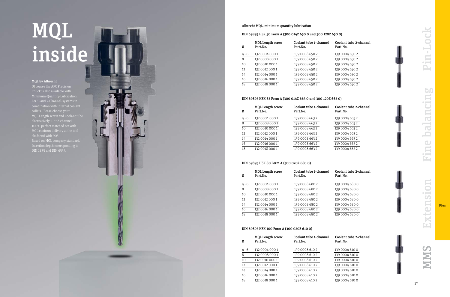### Albrecht MQL, minimum quantity lubrication

### DIN 69893 HSK 50 Form A (300 014Z 650 0 und 300 120Z 650 0)

| Ø     | <b>MQL Length screw</b><br>Part.No. | Coolant tube 1-channel<br>Part.No. | Coolant tube 2-channel<br>Part.No. |
|-------|-------------------------------------|------------------------------------|------------------------------------|
| 4 - 6 | 132 0004 000 1                      | 139 0008 650 2                     | 139 0004 650 2                     |
| 8     | 132 0008 000 1                      | 139 0008 650 2                     | 139 0004 650 2                     |
| 10    | 132 0010 000 1                      | 139 0008 650 2                     | 139 0004 650 2                     |
| 12    | 132 0012 000 1                      | 139 0008 650 2                     | 139 0004 650 2                     |
| 14    | 132 0014 000 1                      | 139 0008 650 2                     | 139 0004 650 2                     |
| 16    | 132 0016 000 1                      | 139 0008 650 2                     | 139 0004 650 2                     |
| 18    | 132 0018 000 1                      | 139 0008 650 2                     | 139 0004 650 2                     |

### DIN 69893 HSK 63 Form A (300 014Z 663 0 und 300 120Z 663 0)

| Ø       | <b>MQL Length screw</b><br>Part.No. | Coolant tube 1-channel<br>Part.No. | Coolant tube 2-channel<br>Part.No. |
|---------|-------------------------------------|------------------------------------|------------------------------------|
| $4 - 6$ | 132 0004 000 1                      | 139 0008 663 2                     | 139 0004 663 2                     |
| 8       | 132 0008 000 1                      | 139 0008 663 2                     | 139 0004 663 2                     |
| 10      | 132 0010 000 1                      | 139 0008 663 2                     | 139 0004 663 2                     |
| 12      | 132 0012 000 1                      | 139 0008 663 2                     | 139 0004 663 2                     |
| 14      | 132 0014 000 1                      | 139 0008 663 2                     | 139 0004 663 2                     |
| 16      | 132 0016 000 1                      | 139 0008 663 2                     | 139 0004 663 2                     |
| 18      | 132 0018 000 1                      | 139 0008 663 2                     | 139 0004 663 2                     |

### DIN 69893 HSK 80 Form A (300 020Z 680 0)

| Ø              | <b>MQL Length screw</b><br>Part.No. | Coolant tube 1-0<br>Part.No. |
|----------------|-------------------------------------|------------------------------|
| 4 - 6          | 132 0004 000 1                      | 139 0008 680 2               |
| $\overline{8}$ | 132 0008 000 1                      | 139 0008 680 2               |
| 10             | 132 0010 000 1                      | 139 0008 680 2               |
| 12             | 132 0012 000 1                      | 139 0008 680 2               |
| 14             | 132 0014 000 1                      | 139 0008 680 2               |
| 16             | 132 0016 000 1                      | 139 0008 680 2               |
| 18             | 132 0018 000 1                      | 139 0008 680 2               |





### DIN 69893 HSK 100 Form A (300 020Z 610 0)

 $\frac{10}{12}$   $\frac{12}{14}$   $\frac{14}{18}$ 

| Ø     | <b>MQL Length screw</b><br>Part.No. | Coolant tube 1-channel<br>Part.No. | Coolant tube 2-channel<br>Part.No. |
|-------|-------------------------------------|------------------------------------|------------------------------------|
| 4 - 6 | 132 0004 000 1                      | 139 0008 610 2                     | 139 0004 610 0                     |
| 8     | 132 0008 000 1                      | 139 0008 610 2                     | 139 0004 610 0                     |
| 10    | 132 0010 000 1                      | 139 0008 610 2                     | 139 0004 610 0                     |
| 12    | 132 0012 000 1                      | 139 0008 610 2                     | 139 0004 610 0                     |
| 14    | 132 0014 000 1                      | 139 0008 610 2                     | 139 0004 610 0                     |
| 16    | 132 0016 000 1                      | 139 0008 610 2                     | 139 0004 610 0                     |
| 18    | 132 0018 000 1                      | 139 0008 610 2                     | 139 0004 610 0                     |
|       |                                     |                                    |                                    |

### MQL inside

### MQL by Albrecht

Of course the APC Precision Chuck is also available with Minimum-Quantity-Lubrication. For 1- and 2-Channel-systems in MQL Length screw and Coolant tube 100% perfect matched set with MQL conform delivery at the tool shaft end with 90°. Based on MQL company standard. Insertion depth corresponding to DIN 1835 and DIN 6535.



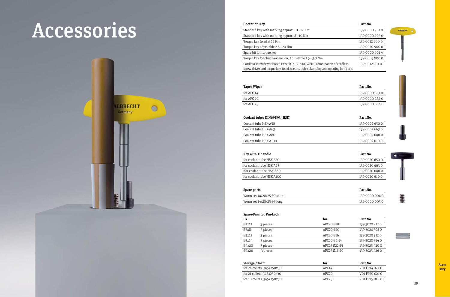| Standard key with marking approx. 10 - 12 Nm                                       | 139 0000 901 0 |
|------------------------------------------------------------------------------------|----------------|
| Standard key with marking approx. 8 - 10 Nm                                        | 139 0000 905 0 |
| Torque key fixed at 12 Nm                                                          | 139 0012 900 0 |
| Torque key adjustable 2.5 - 20 Nm                                                  | 139 0020 900 0 |
| Spare bit for torque key                                                           | 139 0000 901 4 |
| Torque key for chuck-extension. Adjustable 1.5 - 3.0 Nm                            | 139 0003 900 0 |
| Cordless screwdriver Bosch Exact ION 12-700-34661. combination of cordless         | 139 0012 901 0 |
| screw driver and torque key, fixed, secure, quick clamping and opening in < 3 sec. |                |

### Taper Wiper **Part.No.**

| for APC 14 |  |  |
|------------|--|--|
| for APC 20 |  |  |
| for APC 25 |  |  |

| Spare parts                | Part.No.       |
|----------------------------|----------------|
| Worm set 14/20/25 Ø9 short | 139 0000 004 0 |
| Worm set 14/20/25 Ø9 long  | 139 0000 005 0 |
|                            |                |

| Storage / foam             | Part.No.<br>tor         |
|----------------------------|-------------------------|
| for 24 collets, 345x250x30 | VO1 FP14 024 0<br>APC14 |
| for 21 collets, 345x250x30 | V01 FP20 021 0<br>APC20 |
| for 10 collets, 345x250x50 | V01 FP25 010 0<br>APC25 |





139 0000 GR1 0 139 0000 GR2 0 139 0000 GR4 0

| ÷   |        |  |
|-----|--------|--|
| May | ÷      |  |
|     | í.     |  |
|     | ۰      |  |
|     | i      |  |
|     |        |  |
|     | ţ<br>¢ |  |



|  | í | <b>COLLEGE</b> |  |
|--|---|----------------|--|
|  |   |                |  |
|  |   |                |  |
|  |   |                |  |
|  |   |                |  |

| Coolant tubes DIN69893 (HSK) | Part.No.       |
|------------------------------|----------------|
| Coolant tube HSK-A50         | 139 0002 650 0 |
| Coolant tube HSK-A63         | 139 0002 663 0 |
| Coolant tube HSK-A80         | 139 0002 680 0 |
| Coolant tube HSK-A100        | 139 0002 610 0 |
|                              |                |

### Spare-Pins for Pin-Lock

| <b>DxL</b>         |          | for                               | Part.No.       |
|--------------------|----------|-----------------------------------|----------------|
| $\varnothing$ 2x12 | 3 pieces | APC <sub>20</sub> Ø18             | 139 3020 212 0 |
| Ø3x8               | 3 pieces | APC <sub>20</sub> Ø <sub>20</sub> | 139 3020 3080  |
| Ø3x12              | 3 pieces | APC <sub>20</sub> Ø16             | 139 3020 312 0 |
| Ø3x14              | 3 pieces | APC20 Ø6-14                       | 139 3020 314 0 |
| Ø4x20              | 3 pieces | APC <sub>25</sub> Ø22-25          | 139 3025 420 0 |
| Ø4x26              | 3 pieces | APC25 Ø16-20                      | 139 3025 426 0 |

| Key with T-handle         | Part.No.       |
|---------------------------|----------------|
| for coolant tube HSK-A50  | 139 0020 650 0 |
| for coolant tube HSK-A63  | 139 0020 663 0 |
| ffor coolant tube HSK-A80 | 139 0020 680 0 |
| for coolant tube HSK-A100 | 139 0020 610 0 |

### Spare parts

| Worm set 14/20/25 Ø9 short |
|----------------------------|
| Worm set 14/20/25 Ø9 long  |

### Accessories



### Operation Key Part.No.

Acces sory